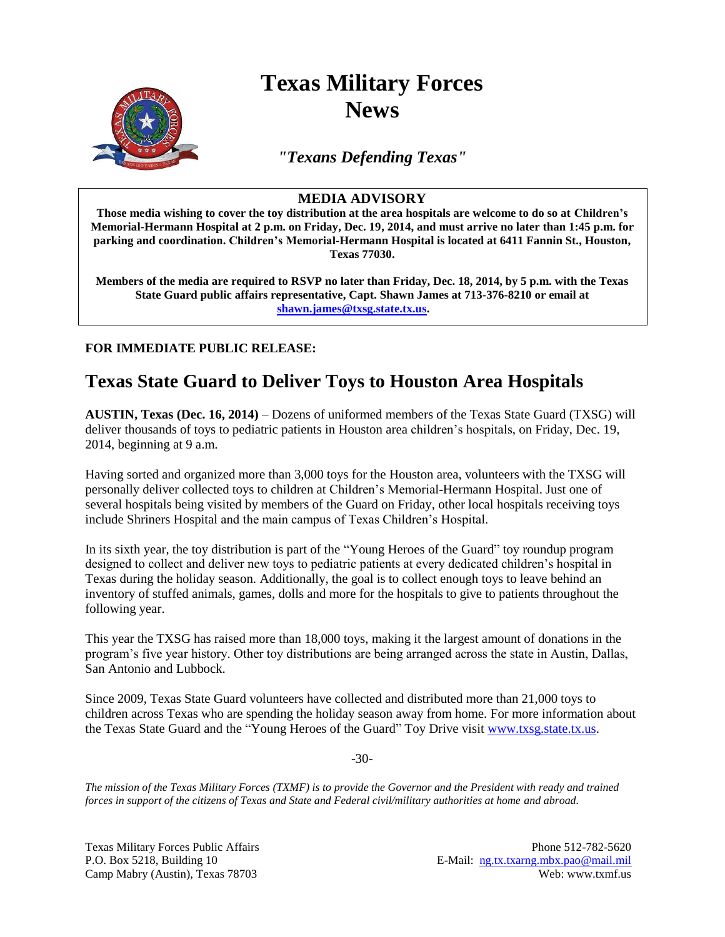

## **Texas Military Forces News**

*"Texans Defending Texas"*

## **MEDIA ADVISORY**

**Those media wishing to cover the toy distribution at the area hospitals are welcome to do so at Children's Memorial-Hermann Hospital at 2 p.m. on Friday, Dec. 19, 2014, and must arrive no later than 1:45 p.m. for parking and coordination. Children's Memorial-Hermann Hospital is located at 6411 Fannin St., Houston, Texas 77030.**

**Members of the media are required to RSVP no later than Friday, Dec. 18, 2014, by 5 p.m. with the Texas State Guard public affairs representative, Capt. Shawn James at 713-376-8210 or email at [shawn.james@txsg.state.tx.us.](mailto:shawn.james@txsg.state.tx.us)**

**FOR IMMEDIATE PUBLIC RELEASE:**

## **Texas State Guard to Deliver Toys to Houston Area Hospitals**

**AUSTIN, Texas (Dec. 16, 2014)** – Dozens of uniformed members of the Texas State Guard (TXSG) will deliver thousands of toys to pediatric patients in Houston area children's hospitals, on Friday, Dec. 19, 2014, beginning at 9 a.m.

Having sorted and organized more than 3,000 toys for the Houston area, volunteers with the TXSG will personally deliver collected toys to children at Children's Memorial-Hermann Hospital. Just one of several hospitals being visited by members of the Guard on Friday, other local hospitals receiving toys include Shriners Hospital and the main campus of Texas Children's Hospital.

In its sixth year, the toy distribution is part of the "Young Heroes of the Guard" toy roundup program designed to collect and deliver new toys to pediatric patients at every dedicated children's hospital in Texas during the holiday season. Additionally, the goal is to collect enough toys to leave behind an inventory of stuffed animals, games, dolls and more for the hospitals to give to patients throughout the following year.

This year the TXSG has raised more than 18,000 toys, making it the largest amount of donations in the program's five year history. Other toy distributions are being arranged across the state in Austin, Dallas, San Antonio and Lubbock.

Since 2009, Texas State Guard volunteers have collected and distributed more than 21,000 toys to children across Texas who are spending the holiday season away from home. For more information about the Texas State Guard and the "Young Heroes of the Guard" Toy Drive visi[t www.txsg.state.tx.us.](http://www.txsg.state.tx.us/)

-30-

*The mission of the Texas Military Forces (TXMF) is to provide the Governor and the President with ready and trained forces in support of the citizens of Texas and State and Federal civil/military authorities at home and abroad.*